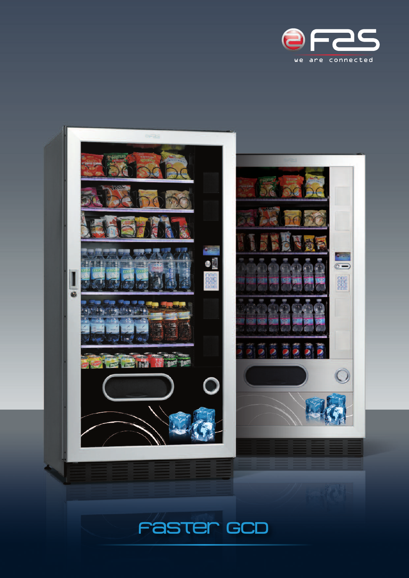